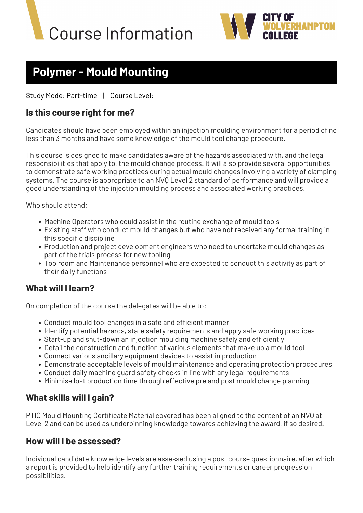



# **Polymer - Mould Mounting**

Study Mode: Part-time | Course Level:

### **Is this course right for me?**

Candidates should have been employed within an injection moulding environment for a period of no less than 3 months and have some knowledge of the mould tool change procedure.

This course is designed to make candidates aware of the hazards associated with, and the legal responsibilities that apply to, the mould change process. It will also provide several opportunities to demonstrate safe working practices during actual mould changes involving a variety of clamping systems. The course is appropriate to an NVQ Level 2 standard of performance and will provide a good understanding of the injection moulding process and associated working practices.

Who should attend:

- Machine Operators who could assist in the routine exchange of mould tools
- Existing staff who conduct mould changes but who have not received any formal training in this specific discipline
- Production and project development engineers who need to undertake mould changes as part of the trials process for new tooling
- Toolroom and Maintenance personnel who are expected to conduct this activity as part of their daily functions

#### **What will I learn?**

On completion of the course the delegates will be able to:

- Conduct mould tool changes in a safe and efficient manner
- Identify potential hazards, state safety requirements and apply safe working practices
- Start-up and shut-down an injection moulding machine safely and efficiently
- Detail the construction and function of various elements that make up a mould tool
- Connect various ancillary equipment devices to assist in production
- Demonstrate acceptable levels of mould maintenance and operating protection procedures
- Conduct daily machine guard safety checks in line with any legal requirements
- Minimise lost production time through effective pre and post mould change planning

## **What skills will I gain?**

PTIC Mould Mounting Certificate Material covered has been aligned to the content of an NVQ at Level 2 and can be used as underpinning knowledge towards achieving the award, if so desired.

#### **How will I be assessed?**

Individual candidate knowledge levels are assessed using a post course questionnaire, after which a report is provided to help identify any further training requirements or career progression possibilities.